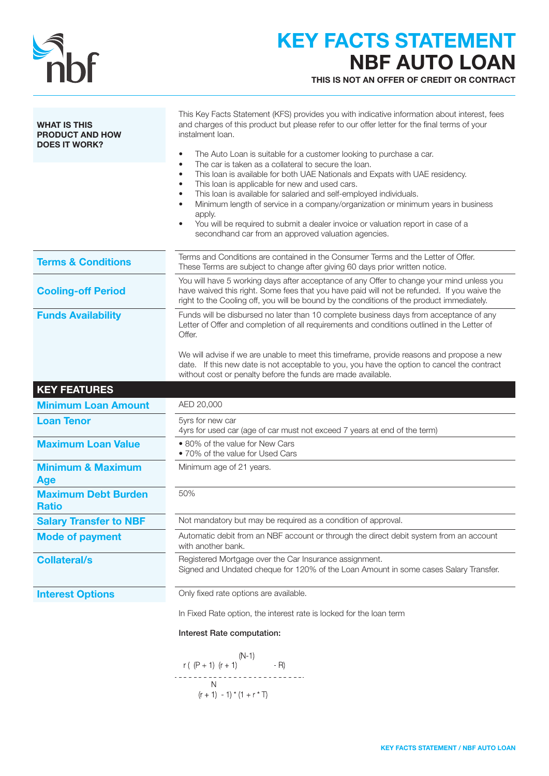| <b>III)</b> |
|-------------|

## KEY FACTS STATEMENT NBF AUTO LOAN

THIS IS NOT AN OFFER OF CREDIT OR CONTRACT

| <b>WHAT IS THIS</b><br><b>PRODUCT AND HOW</b><br><b>DOES IT WORK?</b> | This Key Facts Statement (KFS) provides you with indicative information about interest, fees<br>and charges of this product but please refer to our offer letter for the final terms of your<br>instalment loan.<br>The Auto Loan is suitable for a customer looking to purchase a car.<br>$\bullet$<br>The car is taken as a collateral to secure the loan.<br>This loan is available for both UAE Nationals and Expats with UAE residency.<br>٠<br>This loan is applicable for new and used cars.<br>٠<br>This loan is available for salaried and self-employed individuals.<br>٠<br>Minimum length of service in a company/organization or minimum years in business<br>apply.<br>You will be required to submit a dealer invoice or valuation report in case of a<br>$\bullet$<br>secondhand car from an approved valuation agencies. |
|-----------------------------------------------------------------------|-------------------------------------------------------------------------------------------------------------------------------------------------------------------------------------------------------------------------------------------------------------------------------------------------------------------------------------------------------------------------------------------------------------------------------------------------------------------------------------------------------------------------------------------------------------------------------------------------------------------------------------------------------------------------------------------------------------------------------------------------------------------------------------------------------------------------------------------|
| <b>Terms &amp; Conditions</b>                                         | Terms and Conditions are contained in the Consumer Terms and the Letter of Offer.<br>These Terms are subject to change after giving 60 days prior written notice.                                                                                                                                                                                                                                                                                                                                                                                                                                                                                                                                                                                                                                                                         |
| <b>Cooling-off Period</b>                                             | You will have 5 working days after acceptance of any Offer to change your mind unless you<br>have waived this right. Some fees that you have paid will not be refunded. If you waive the<br>right to the Cooling off, you will be bound by the conditions of the product immediately.                                                                                                                                                                                                                                                                                                                                                                                                                                                                                                                                                     |
| <b>Funds Availability</b>                                             | Funds will be disbursed no later than 10 complete business days from acceptance of any<br>Letter of Offer and completion of all requirements and conditions outlined in the Letter of<br>Offer.<br>We will advise if we are unable to meet this timeframe, provide reasons and propose a new<br>date. If this new date is not acceptable to you, you have the option to cancel the contract<br>without cost or penalty before the funds are made available.                                                                                                                                                                                                                                                                                                                                                                               |
| <b>KEY FEATURES</b>                                                   |                                                                                                                                                                                                                                                                                                                                                                                                                                                                                                                                                                                                                                                                                                                                                                                                                                           |
| <b>Minimum Loan Amount</b>                                            | AED 20,000                                                                                                                                                                                                                                                                                                                                                                                                                                                                                                                                                                                                                                                                                                                                                                                                                                |
| <b>Loan Tenor</b>                                                     | 5yrs for new car<br>4yrs for used car (age of car must not exceed 7 years at end of the term)                                                                                                                                                                                                                                                                                                                                                                                                                                                                                                                                                                                                                                                                                                                                             |
| <b>Maximum Loan Value</b>                                             | • 80% of the value for New Cars<br>• 70% of the value for Used Cars                                                                                                                                                                                                                                                                                                                                                                                                                                                                                                                                                                                                                                                                                                                                                                       |
| <b>Minimum &amp; Maximum</b><br><b>Age</b>                            | Minimum age of 21 years.                                                                                                                                                                                                                                                                                                                                                                                                                                                                                                                                                                                                                                                                                                                                                                                                                  |
| <b>Maximum Debt Burden</b><br><b>Ratio</b>                            | 50%                                                                                                                                                                                                                                                                                                                                                                                                                                                                                                                                                                                                                                                                                                                                                                                                                                       |
| <b>Salary Transfer to NBF</b>                                         | Not mandatory but may be required as a condition of approval.                                                                                                                                                                                                                                                                                                                                                                                                                                                                                                                                                                                                                                                                                                                                                                             |
| <b>Mode of payment</b>                                                | Automatic debit from an NBF account or through the direct debit system from an account<br>with another bank.                                                                                                                                                                                                                                                                                                                                                                                                                                                                                                                                                                                                                                                                                                                              |
| <b>Collateral/s</b>                                                   | Registered Mortgage over the Car Insurance assignment.<br>Signed and Undated cheque for 120% of the Loan Amount in some cases Salary Transfer.                                                                                                                                                                                                                                                                                                                                                                                                                                                                                                                                                                                                                                                                                            |
| <b>Interest Options</b>                                               | Only fixed rate options are available.                                                                                                                                                                                                                                                                                                                                                                                                                                                                                                                                                                                                                                                                                                                                                                                                    |
|                                                                       | In Fixed Rate option, the interest rate is locked for the loan term                                                                                                                                                                                                                                                                                                                                                                                                                                                                                                                                                                                                                                                                                                                                                                       |
|                                                                       | Interest Rate computation:                                                                                                                                                                                                                                                                                                                                                                                                                                                                                                                                                                                                                                                                                                                                                                                                                |
|                                                                       | $(N-1)$                                                                                                                                                                                                                                                                                                                                                                                                                                                                                                                                                                                                                                                                                                                                                                                                                                   |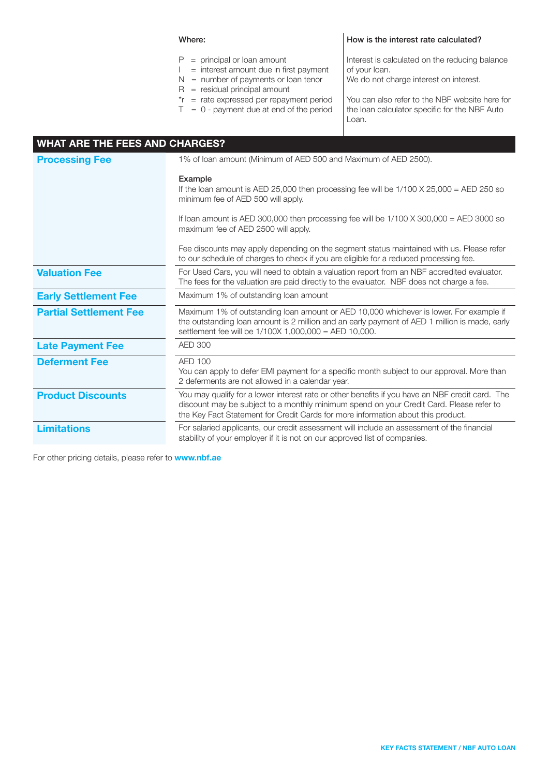#### Where:

#### How is the interest rate calculated?

 $P =$  principal or loan amount  $I =$  interest amount due in first payment  $N =$  number of payments or loan tenor  $R =$  residual principal amount \*r = rate expressed per repayment period  $T = 0$  - payment due at end of the period Interest is calculated on the reducing balance of your loan. We do not charge interest on interest. You can also refer to the NBF website here for the loan calculator specific for the NBF Auto Loan.

| <b>WHAT ARE THE FEES AND CHARGES?</b> |                                                                                                                                                                                                                                                                                |  |
|---------------------------------------|--------------------------------------------------------------------------------------------------------------------------------------------------------------------------------------------------------------------------------------------------------------------------------|--|
| <b>Processing Fee</b>                 | 1% of loan amount (Minimum of AED 500 and Maximum of AED 2500).                                                                                                                                                                                                                |  |
|                                       | Example<br>If the loan amount is AED 25,000 then processing fee will be $1/100 \times 25,000 = AED 250$ so<br>minimum fee of AED 500 will apply.                                                                                                                               |  |
|                                       | If loan amount is AED 300,000 then processing fee will be $1/100 \times 300,000 = AED 3000$ so<br>maximum fee of AED 2500 will apply.                                                                                                                                          |  |
|                                       | Fee discounts may apply depending on the segment status maintained with us. Please refer<br>to our schedule of charges to check if you are eligible for a reduced processing fee.                                                                                              |  |
| <b>Valuation Fee</b>                  | For Used Cars, you will need to obtain a valuation report from an NBF accredited evaluator.<br>The fees for the valuation are paid directly to the evaluator. NBF does not charge a fee.                                                                                       |  |
| <b>Early Settlement Fee</b>           | Maximum 1% of outstanding loan amount                                                                                                                                                                                                                                          |  |
| <b>Partial Settlement Fee</b>         | Maximum 1% of outstanding loan amount or AED 10,000 whichever is lower. For example if<br>the outstanding loan amount is 2 million and an early payment of AED 1 million is made, early<br>settlement fee will be 1/100X 1,000,000 = AED 10,000.                               |  |
| <b>Late Payment Fee</b>               | <b>AED 300</b>                                                                                                                                                                                                                                                                 |  |
| <b>Deferment Fee</b>                  | AED 100<br>You can apply to defer EMI payment for a specific month subject to our approval. More than<br>2 deferments are not allowed in a calendar year.                                                                                                                      |  |
| <b>Product Discounts</b>              | You may qualify for a lower interest rate or other benefits if you have an NBF credit card. The<br>discount may be subject to a monthly minimum spend on your Credit Card. Please refer to<br>the Key Fact Statement for Credit Cards for more information about this product. |  |
| <b>Limitations</b>                    | For salaried applicants, our credit assessment will include an assessment of the financial<br>stability of your employer if it is not on our approved list of companies.                                                                                                       |  |

For other pricing details, please refer to **www.nbf.ae**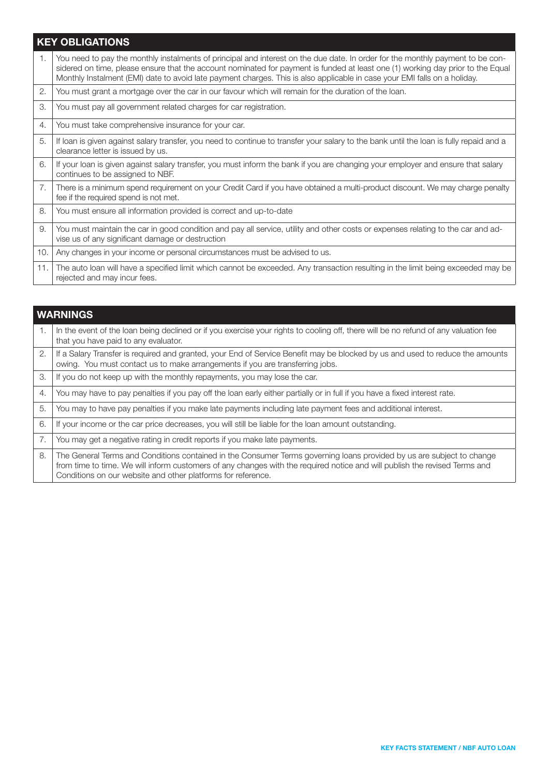## KEY OBLIGATIONS

| 1.  | You need to pay the monthly instalments of principal and interest on the due date. In order for the monthly payment to be con-<br>sidered on time, please ensure that the account nominated for payment is funded at least one (1) working day prior to the Equal<br>Monthly Instalment (EMI) date to avoid late payment charges. This is also applicable in case your EMI falls on a holiday. |
|-----|------------------------------------------------------------------------------------------------------------------------------------------------------------------------------------------------------------------------------------------------------------------------------------------------------------------------------------------------------------------------------------------------|
| 2.  | You must grant a mortgage over the car in our favour which will remain for the duration of the loan.                                                                                                                                                                                                                                                                                           |
| 3.  | You must pay all government related charges for car registration.                                                                                                                                                                                                                                                                                                                              |
| 4.  | You must take comprehensive insurance for your car.                                                                                                                                                                                                                                                                                                                                            |
| 5.  | If loan is given against salary transfer, you need to continue to transfer your salary to the bank until the loan is fully repaid and a<br>clearance letter is issued by us.                                                                                                                                                                                                                   |
| 6.  | If your loan is given against salary transfer, you must inform the bank if you are changing your employer and ensure that salary<br>continues to be assigned to NBF.                                                                                                                                                                                                                           |
| 7.  | There is a minimum spend requirement on your Credit Card if you have obtained a multi-product discount. We may charge penalty<br>fee if the required spend is not met.                                                                                                                                                                                                                         |
| 8.  | You must ensure all information provided is correct and up-to-date                                                                                                                                                                                                                                                                                                                             |
| 9.  | You must maintain the car in good condition and pay all service, utility and other costs or expenses relating to the car and ad-<br>vise us of any significant damage or destruction                                                                                                                                                                                                           |
| 10. | Any changes in your income or personal circumstances must be advised to us.                                                                                                                                                                                                                                                                                                                    |
| 11. | The auto loan will have a specified limit which cannot be exceeded. Any transaction resulting in the limit being exceeded may be<br>rejected and may incur fees.                                                                                                                                                                                                                               |

|    | <b>WARNINGS</b>                                                                                                                                                                                                                                                                                                     |
|----|---------------------------------------------------------------------------------------------------------------------------------------------------------------------------------------------------------------------------------------------------------------------------------------------------------------------|
| 1. | In the event of the loan being declined or if you exercise your rights to cooling off, there will be no refund of any valuation fee<br>that you have paid to any evaluator.                                                                                                                                         |
| 2. | If a Salary Transfer is required and granted, your End of Service Benefit may be blocked by us and used to reduce the amounts<br>owing. You must contact us to make arrangements if you are transferring jobs.                                                                                                      |
| 3. | If you do not keep up with the monthly repayments, you may lose the car.                                                                                                                                                                                                                                            |
| 4. | You may have to pay penalties if you pay off the loan early either partially or in full if you have a fixed interest rate.                                                                                                                                                                                          |
| 5. | You may to have pay penalties if you make late payments including late payment fees and additional interest.                                                                                                                                                                                                        |
| 6. | If your income or the car price decreases, you will still be liable for the loan amount outstanding.                                                                                                                                                                                                                |
| 7. | You may get a negative rating in credit reports if you make late payments.                                                                                                                                                                                                                                          |
| 8. | The General Terms and Conditions contained in the Consumer Terms governing loans provided by us are subject to change<br>from time to time. We will inform customers of any changes with the required notice and will publish the revised Terms and<br>Conditions on our website and other platforms for reference. |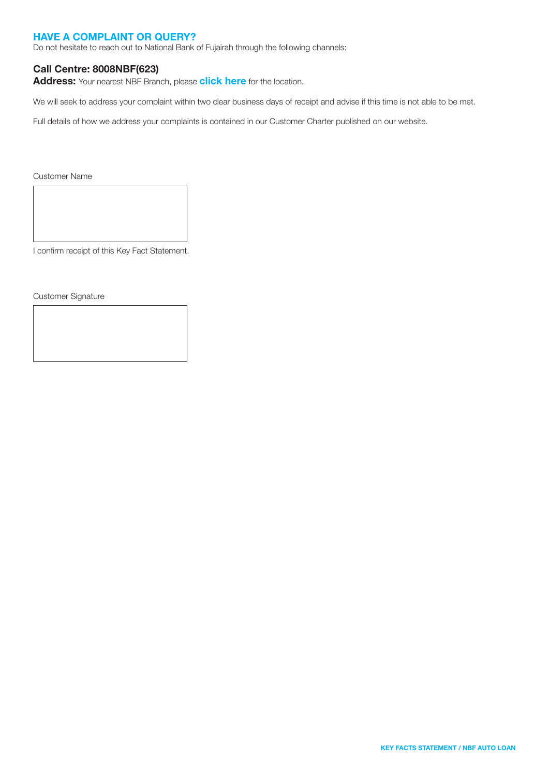#### HAVE A COMPLAINT OR QUERY?

Do not hesitate to reach out to National Bank of Fujairah through the following channels:

#### Call Centre: 8008NBF(623)

Address: Your nearest NBF Branch, please [click here](https://nbf.ae/en/contact/locations) for the location.

We will seek to address your complaint within two clear business days of receipt and advise if this time is not able to be met.

Full details of how we address your complaints is contained in our Customer Charter published on our website.

Customer Name

I confirm receipt of this Key Fact Statement.

Customer Signature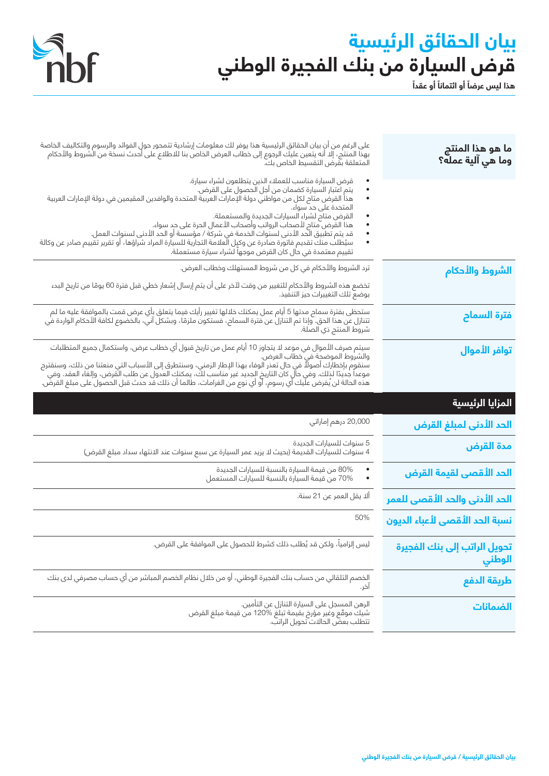# **بيان الحقائق الرئيسية** قرض السيارة من بنك الفجيرة الوطني<br>هذا ليس عرضاَ أو القطال**ا** أو عقدا



| ما هو هذا المنتج<br>وما هي آلية عمله؟  | على الرغم من أن بيان الحقائق الرئيسية هذا يوفر لك معلومات إرشادية تتمحور حول الفوائد والرسوم والتكاليف الخاصة<br>بهذا المنتج، إلا أنه يتعين عليك الرجوع إلى خطاب العرض الخاص بنا للاطلاع على أحدث نسخة من الشروط والأحكام<br>المتعلقة بقرض التقسيط الخاص بكآ.                                                                                                                                                                                                                                                                                                                                                                            |
|----------------------------------------|------------------------------------------------------------------------------------------------------------------------------------------------------------------------------------------------------------------------------------------------------------------------------------------------------------------------------------------------------------------------------------------------------------------------------------------------------------------------------------------------------------------------------------------------------------------------------------------------------------------------------------------|
|                                        | قرض السيارة مناسب للعملاء الذين يتطلعون لشراء سيارة.<br>يتم اعتبار السيارة كضمان من أجل الحصول على القرض.<br>هذا القرض متاح لكل من مواطني دولة الإمارات العربية المتحدة والوافدين المقيمين في دولة الإمارات العربية<br>٠<br>المتحدة على حد سواء.<br>القرض متام لشراء السيارات الجديدة والمستعملة.<br>هذا القرض متاح لأصحاب الرواتب وأصحاب الأعمال الحرة على حد سواء.<br>قد يتم تطبيق الَّحد الأدنى لسنوات الخدمة في شركة / مؤسسة أو الحد الأدنى لسنوات العمل.<br>سيُطلب منك تقديم فاتورة صادرة عن وكيل العلامة التجارية للسيارة المراد شراؤها، أو تقرير تقييم صادر عن وكالة<br>تقييم معتمدة في حال كان القرض موجهاً لشراء سيارة مستعملة. |
| الشروط والأحكام                        | ترد الشروط والأحكام في كل من شروط المستهلك وخطاب العرض.                                                                                                                                                                                                                                                                                                                                                                                                                                                                                                                                                                                  |
|                                        | تخضع هذه الشروط والأحكام للتغيير من وقت لآخر على أن يتم إرسال إشعار خطي قبل فترة 60 يومًا من تاريخ البدء<br>بوضع تلك التغييرات حيز التنفيذ.                                                                                                                                                                                                                                                                                                                                                                                                                                                                                              |
| <mark>فترة السماح</mark>               | ستحظى بفترة سماح مدتها 5 أيام عمل يمكنك خلالها تغيير رأيك فيما يتعلق بأي عرض قمت بالموافقة عليه ما لم<br>تتنازل عن هذا الحق. وإذا تم التنازل عن فترة السماح، فستكون ملزمًا، وبشكل آني، بالخضوع لكافة الأحكام الواردة في<br>*<br>شروط المنتج ذي الصلة.                                                                                                                                                                                                                                                                                                                                                                                    |
| <mark>توافر الأموال</mark>             | سيتم صرف الأموال في موعد لا يتجاوز 10 أيام عمل من تاريخ قبول أي خطاب عرض، واستكمال جميع المتطلبات<br>والشروط الموضحة في خطاب العرض.<br>سنقوم بإخطارك أصولاً في حال تعُدر الوفاء بهذا الإطار الزمني، وسنتطرق إلى الأسباب التي منعتنا من ذلك، وسنقترح<br>موعداً جديدًا لذلك. وفي حال كان التاريخ الجديد غير مناسب لك، يمكنك العدول عن طلب القرض، وإلغاء العقد. وفي<br>هذه ال                                                                                                                                                                                                                                                               |
|                                        |                                                                                                                                                                                                                                                                                                                                                                                                                                                                                                                                                                                                                                          |
| المزايا الرئيسية                       |                                                                                                                                                                                                                                                                                                                                                                                                                                                                                                                                                                                                                                          |
| الحد الأدنى لمبلغ القرض                | 20,000 درهم إماراتي                                                                                                                                                                                                                                                                                                                                                                                                                                                                                                                                                                                                                      |
| مدة القرض                              | 5 سنوات للسيارات الجديدة<br>4 سنوات للسيارات القديمة (بحيث لا يزيد عمر السيارة عن سبع سنوات عند الانتهاء سداد مبلغ القرض)                                                                                                                                                                                                                                                                                                                                                                                                                                                                                                                |
| الحد ال <mark>أقصى لقيمة القرض</mark>  | 80% من قيمة السيارة بالنسبة للسيارات الجديدة<br>70% من قيمة السيارة بالنسبة للسيارات المستعمل                                                                                                                                                                                                                                                                                                                                                                                                                                                                                                                                            |
| الحد الأدنى والحد الأقصى للعمر         | ألا يقل العمر عن 21 سنة.                                                                                                                                                                                                                                                                                                                                                                                                                                                                                                                                                                                                                 |
| نسبة الحد الأقصى لأعباء الديون         | 50%                                                                                                                                                                                                                                                                                                                                                                                                                                                                                                                                                                                                                                      |
| تحويل الراتب إلى بنك الفجيرة<br>الوطني | ليس إلزامياً، ولكن قد يُطلب ذلك كشرط للحصول على الموافقة على القرض.                                                                                                                                                                                                                                                                                                                                                                                                                                                                                                                                                                      |
| طريقة الدفع                            | الخصم التلقائى من حساب بنك الفجيرة الوطني، أو من خلال نظام الخصم المباشر من أي حساب مصرفي لدى بنك<br>اخر.                                                                                                                                                                                                                                                                                                                                                                                                                                                                                                                                |
| الضمانات                               | الرهن المسجل على السيارة التنازل عن التأمين.<br>شيكَ موقَّع وغير مَؤرخ بقيمة تبلغَ %120 من قيمة مبلغ القرض<br>تتطلب بعضّ الحالات ّتحويل الراتبّ.                                                                                                                                                                                                                                                                                                                                                                                                                                                                                         |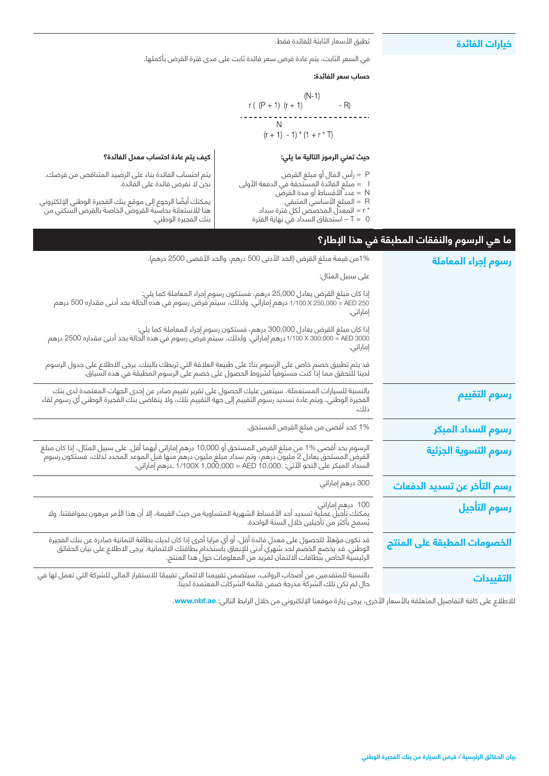#### **خيارات الفائدة**

#### تطبق الأسعار الثابتة للفائدة فقط.

في السعر الثابت، يتم عادة فرض سعر فائدة ثابت على مدى فترة القرض بأكملها.

#### **حساب سعر الفائدة:**

$$
(N-1)
$$
\n
$$
r \cdot (P + 1) (r + 1)
$$
\n
$$
N
$$
\n
$$
(r + 1) - 1 \cdot (1 + r \cdot T)
$$

#### **حيث تعني الرموز التالية ما يلي:**

- P = رأس المال أو مبلغ القرض
- I = مبلغ الفائدة المستحقة في الدفعة األولى
	- N = عدد األقساط أو مدة القرض
		- R = المبلغ األساسي المتبقي
	- \* r = المعدل المخصص لكل فترة سداد
	- 0 = T استحقاق السداد في نهاية الفترة

#### **كيف يتم عادة احتساب معدل الفائدة؟**

يتم احتساب الفائدة بناء على الرصيد المتناقص من قرضك. نحن ال نفرض فائدة على الفائدة.

يمكنك ايضًا الرجوع إلى موقع بنك الفجيرة الوطني الإلكتروني هنا لالستعانة بحاسبة القروض الخاصة بالقرض السكني من بنك الفجيرة الوطني.

### **ما هي الرسوم والنفقات المطبقة في هذا اإلطار؟**

| رسوم إجراء المعاملة         | 1%من قيمة مبلغ القرض (الحد الأدنى 500 درهم، والحد الأقصى 2500 درهم).                                                                                                                                                                |
|-----------------------------|-------------------------------------------------------------------------------------------------------------------------------------------------------------------------------------------------------------------------------------|
|                             | على سبيل المثال:                                                                                                                                                                                                                    |
|                             | إذا كان مبلغ القرض يعادل 25,000 درهم، فستكون رسوم إجراء المعاملة كما يلي:<br>250 N2 = 1/100 X 250,000 درهم إماراتي. ولذلك، سيتم فرض رسوم في هذه الحالة بحد أدنى مقداره 500 درهم<br>.<br>إماراتي.                                    |
|                             | إماراتي.                                                                                                                                                                                                                            |
|                             | قد يتم تطبيق خصم خاص على الرسوم بناءً على طبيعة العلاقة التي تربطك بالبنك. يرجى الاطلاع على جدول الرسوم<br>لدينا للتحقق مما إذا كنت مستوفياً لشروط الحصول على خصم على الرسوم المطبقة في هذه السياق.                                 |
| رسوم التقييم                | بالنسبة للسيارات المستعملة، سيتعين عليك الحصول على تقرير تقييم صادر عن إحدى الجهات المعتمدة لدى بنك<br>الفجيرة الوطني، ويتم عادة تسديد رسوم التقييم إلى جهة التقييم تلك، ولا يتقاضى بنك الفجيرة الوطني أي رسوم لقاء<br><br>ذلك.     |
| رسوم السداد المبكر          | 1% كحد أقصى من مبلغ القرض المستحق.                                                                                                                                                                                                  |
| رسوم التسوية الجزئية        | الرسوم بحد أقصى %1 من مبلغ القرض المستحق أو 10,000 درهم إماراتي أيهما أقل. على سبيل المثال، إذا كان مبلغ<br>القرض المستحق يعادل 2 مليون درهم، وتم سداد مبلغ مليون درهم منها قبل الموعد المحدد لذلك، فستكون رسوم<br>السداد المبكر عل |
| رسم التأخر عن تسديد الدفعات | 300 درهم إماراتي                                                                                                                                                                                                                    |
| رسوم التأجيل                | 100 درهم إماراتي<br>يمكنك تأجيل عملية تسديد أحد الأقساط الشهرية المتساوية من حيث القيمة، إلا أن هذا الأمر مرهون بموافقتنا. ولا<br>يُسمح بأكثر من تأجيلين خلال السنة الواحدة.                                                        |
| الخصومات المطبقة على المنتج | قد تكون مؤهلاً للحصول على معدل فائدة أقل، أو أي مزايا أخرى إذا كان لديك بطاقة ائتمانية صادرة عن بنك الفجيرة<br>الوطني. قد يخضع الخصم لحد شهري أدنى للإنفاق باستخدام بطاقتك الائتمانية. يرجى الاطلاع على بيان الحقائق<br>الرئيسية ال |
| التقييدات                   | بالنسبة للمتقدمين من أصحاب الرواتب، سيتضمن تقييمنا الائتماني تقييمًا للاستقرار المالي للشركة التي تعمل لها في<br>حال لم تكن تلك الشركة مدرجة ضمن قائمة الشركات المعتمدة لدينا.                                                      |

للاطلاع على كافة التفاصيل المتعلقة بالأسعار الأخرى، يرجى زيارة موقعنا الإلكتروني من خلال الرابط التالي: <mark>www.nbf.ae.</mark>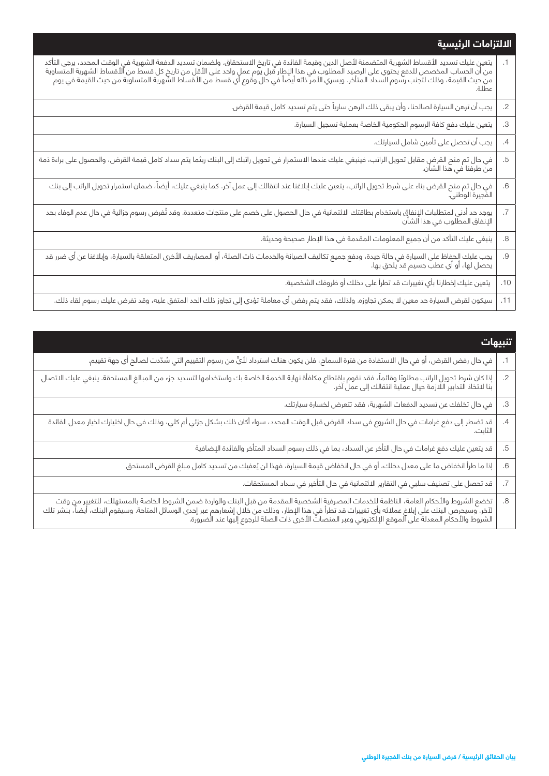## **االلتزامات الرئيسية**

| يتعين عليك تسديد الأقساط الشهرية المتضمنة لأصل الدين وقيمة الفائدة في تاريخ الاستحقاق. ولضمان تسديد الدفعة الشهرية في الوقت المحدد، يرجى التأكد<br>  من أن الحساب المخصص للدفع يحتوي على الرصيد المطلوب في هذا الإطار قبل يوم | $\cdot$ 1 |
|-------------------------------------------------------------------------------------------------------------------------------------------------------------------------------------------------------------------------------|-----------|
| يجب أن ترهن السيارة لصالحنا، وأن يبقى ذلك الرهن سارياً حتى يتم تسديد كامل قيمة القرض.                                                                                                                                         | .2        |
| يتعين عليك دفع كافة الرسوم الحكومية الخاصة بعملية تسجيل السيارة.                                                                                                                                                              | .3        |
| يجب أن تحصل على تأمين شامل لسيارتك.                                                                                                                                                                                           | .4        |
|                                                                                                                                                                                                                               | .5        |
| .<br>في حال تم منح القرض بناء على شرط تحويل الراتب، يتعين عليك إبلاغنا عند انتقالك إلى عمل آخر. كما ينبغي عليك، أيضاً، ضمان استمرار تحويل الراتب إلى بنك<br>الفجيرة الوطني.                                                   | .6        |
| يوجد حد أدنى لمتطلبات الإنفاق باستخدام بطاقتك الائتمانية في حال الحصول على خصم على منتجات متعددة. وقد تُفرض رسوم جزائية في حال عدم الوفاء بحد<br>الإنفاق المطلوب في هذا الشأن                                                 | .7        |
| ينبغي عليك التأكد من أن جميع المعلومات المقدمة في هذا الإطار صحيحة وحديثة.                                                                                                                                                    | .8        |
| يجب عليك الحفاظ على السيارة في حالة جيدة، ودفع جميع تكاليف الصيانة والخدمات ذات الصلة، أو المصاريف الأخرى المتعلقة بالسيارة، وإبلاغنا عن أي ضرر قد<br>يحصل لها، أو أي عطب جسيم قد يلحق بها.                                   | .9        |
| يتعين عليك إخطارنا بأي تغييرات قد تطرأ على دخلك أو ظروفك الشخصية.                                                                                                                                                             | .10       |
| سيكون لقرض السيارة حد معين لا يمكن تجاوزه. ولذلك، فقد يتم رفض أي معاملة تؤدي إلى تجاوز ذلك الحد المتفق عليه، وقد تفرض عليك رسوم لقاء ذلك.                                                                                     | .11       |

| تنبيهات                                                                                                                                                                                                                        |            |
|--------------------------------------------------------------------------------------------------------------------------------------------------------------------------------------------------------------------------------|------------|
| في حال رفض القرض، أو في حال الاستفادة من فترة السماح، فلن يكون هناك استرداد لأيٍّ من رسوم التقييم التي سُدّدت لصالح أي جهة تقييم.                                                                                              |            |
| إذا كان شرط تحويل الراتب مطلوبًا وقائماً، فقد نقوم باقتطاع مكافأة نهاية الخدمة الخاصة بك واستخدامها لتسديد جزء من المبالغ المستحقة. ينبغي عليك الاتصال<br>بنا لاتخاذ التدابير اللازمة حيال عملية انتقالك إلى عمل آخر.          | $\cdot$ .2 |
| في حال تخلفك عن تسديد الدفعات الشهرية، فقد تتعرض لخسارة سيارتك.                                                                                                                                                                | .3         |
| <br>  قد تضطر إلى دفع غرامات في حال الشروع في سداد القرض قبل الوقت المحدد، سواء أكان ذلك بشكل جزئي أم كلي، وذلك في حال اختيارك لخيار معدل الفائدة<br>  الثابت.                                                                 | .4         |
| قد يتعين عليك دفع غرامات في حال التأخر عن السداد، بما في ذلك رسوم السداد المتأخر والفائدة الإضافية                                                                                                                             | .5         |
| إذا ما طرأ انخفاض ما على معدل دخلك، أو في حال انخفاض قيمة السيارة، فهذا لن يُعفيك من تسديد كامل مبلغ القرض المستحق                                                                                                             | .6         |
| قد تحصل على تصنيف سلبي في التقارير الائتمانية في حال التأخير في سداد المستحقات.                                                                                                                                                |            |
| تخضع الشروط والأحكام العامة، الناظمة للخدمات المصرفية الشخصية المقدمة من قبل البنك والواردة ضمن الشروط الخاصة بالمستهلك، للتغيير من وقت<br>  لآخر. وسيحرص البنك على إبلاغ عملائه بأي تغييرات قد تطرأ في هذا الإطار، وذلك من خل | .8         |